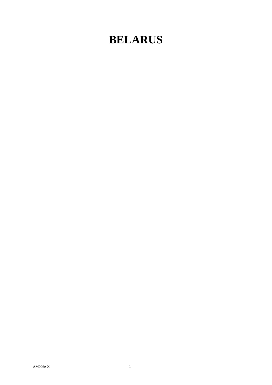## **BELARUS**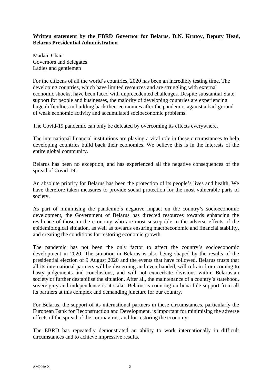## **Written statement by the EBRD Governor for Belarus, D.N. Krutoy, Deputy Head, Belarus Presidential Administration**

Madam Chair Governors and delegates Ladies and gentlemen

For the citizens of all the world's countries, 2020 has been an incredibly testing time. The developing countries, which have limited resources and are struggling with external economic shocks, have been faced with unprecedented challenges. Despite substantial State support for people and businesses, the majority of developing countries are experiencing huge difficulties in building back their economies after the pandemic, against a background of weak economic activity and accumulated socioeconomic problems.

The Covid-19 pandemic can only be defeated by overcoming its effects everywhere.

The international financial institutions are playing a vital role in these circumstances to help developing countries build back their economies. We believe this is in the interests of the entire global community.

Belarus has been no exception, and has experienced all the negative consequences of the spread of Covid-19.

An absolute priority for Belarus has been the protection of its people's lives and health. We have therefore taken measures to provide social protection for the most vulnerable parts of society.

As part of minimising the pandemic's negative impact on the country's socioeconomic development, the Government of Belarus has directed resources towards enhancing the resilience of those in the economy who are most susceptible to the adverse effects of the epidemiological situation, as well as towards ensuring macroeconomic and financial stability, and creating the conditions for restoring economic growth.

The pandemic has not been the only factor to affect the country's socioeconomic development in 2020. The situation in Belarus is also being shaped by the results of the presidential election of 9 August 2020 and the events that have followed. Belarus trusts that all its international partners will be discerning and even-handed, will refrain from coming to hasty judgements and conclusions, and will not exacerbate divisions within Belarusian society or further destabilise the situation. After all, the maintenance of a country's statehood, sovereignty and independence is at stake. Belarus is counting on bona fide support from all its partners at this complex and demanding juncture for our country.

For Belarus, the support of its international partners in these circumstances, particularly the European Bank for Reconstruction and Development, is important for minimising the adverse effects of the spread of the coronavirus, and for restoring the economy.

The EBRD has repeatedly demonstrated an ability to work internationally in difficult circumstances and to achieve impressive results.